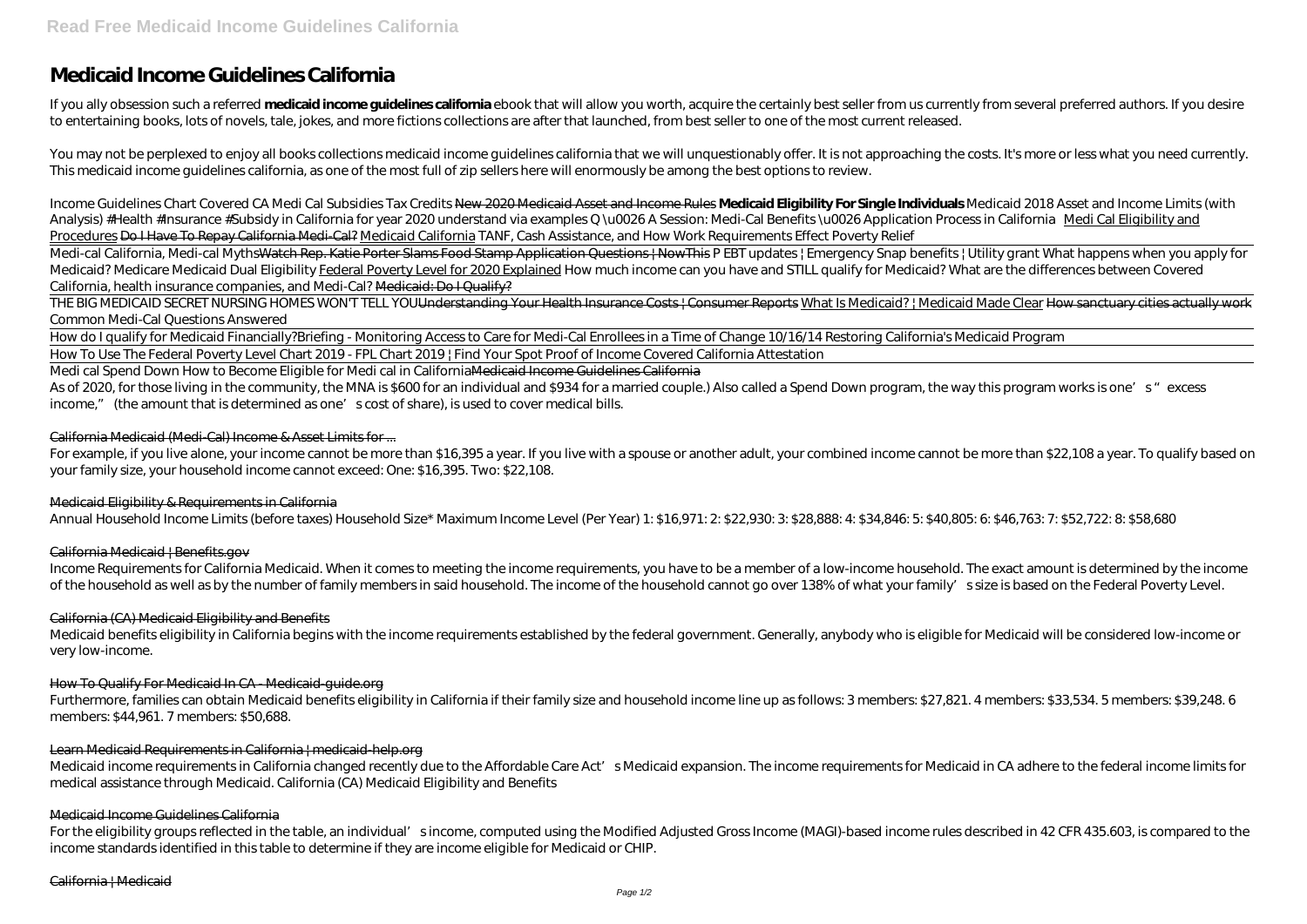# **Medicaid Income Guidelines California**

If you ally obsession such a referred **medicaid income guidelines california** ebook that will allow you worth, acquire the certainly best seller from us currently from several preferred authors. If you desire to entertaining books, lots of novels, tale, jokes, and more fictions collections are after that launched, from best seller to one of the most current released.

You may not be perplexed to enjoy all books collections medicaid income guidelines california that we will unquestionably offer. It is not approaching the costs. It's more or less what you need currently. This medicaid income guidelines california, as one of the most full of zip sellers here will enormously be among the best options to review.

THE BIG MEDICAID SECRET NURSING HOMES WON'T TELL YOU<del>Understanding Your Health Insurance Costs | Consumer Reports What Is Medicaid? | Medicaid Made Clear How sanctuary cities actually work</del> *Common Medi-Cal Questions Answered*

*Income Guidelines Chart Covered CA Medi Cal Subsidies Tax Credits* New 2020 Medicaid Asset and Income Rules **Medicaid Eligibility For Single Individuals** Medicaid 2018 Asset and Income Limits (with Analysis) #Health #Insurance #Subsidy in California for year 2020 understand via examples *Q* u0026 A Session: Medi-Cal Benefits u0026 Application Process in California Medi Cal Eligibility and Procedures Do I Have To Repay California Medi-Cal? Medicaid California *TANF, Cash Assistance, and How Work Requirements Effect Poverty Relief*

For example, if you live alone, your income cannot be more than \$16,395 a year. If you live with a spouse or another adult, your combined income cannot be more than \$22,108 a year. To qualify based on your family size, your household income cannot exceed: One: \$16,395. Two: \$22,108.

Medi-cal California, Medi-cal MythsWatch Rep. Katie Porter Slams Food Stamp Application Questions | NowThis *P EBT updates | Emergency Snap benefits | Utility grant What happens when you apply for Medicaid? Medicare Medicaid Dual Eligibility* Federal Poverty Level for 2020 Explained How much income can you have and STILL qualify for Medicaid? *What are the differences between Covered California, health insurance companies, and Medi-Cal?* Medicaid: Do I Qualify?

Income Requirements for California Medicaid. When it comes to meeting the income requirements, you have to be a member of a low-income household. The exact amount is determined by the income of the household as well as by the number of family members in said household. The income of the household cannot go over 138% of what your family' ssize is based on the Federal Poverty Level.

How do I qualify for Medicaid Financially?*Briefing - Monitoring Access to Care for Medi-Cal Enrollees in a Time of Change 10/16/14 Restoring California's Medicaid Program* How To Use The Federal Poverty Level Chart 2019 - FPL Chart 2019 | Find Your Spot Proof of Income Covered California Attestation

Medicaid income requirements in California changed recently due to the Affordable Care Act' s Medicaid expansion. The income requirements for Medicaid in CA adhere to the federal income limits for medical assistance through Medicaid. California (CA) Medicaid Eligibility and Benefits

Medi cal Spend Down How to Become Eligible for Medi cal in CaliforniaMedicaid Income Guidelines California

As of 2020, for those living in the community, the MNA is \$600 for an individual and \$934 for a married couple.) Also called a Spend Down program, the way this program works is one's "excess" income," (the amount that is determined as one' scost of share), is used to cover medical bills.

For the eligibility groups reflected in the table, an individual's income, computed using the Modified Adjusted Gross Income (MAGI)-based income rules described in 42 CFR 435.603, is compared to the income standards identified in this table to determine if they are income eligible for Medicaid or CHIP.

### California Medicaid (Medi-Cal) Income & Asset Limits for ...

# Medicaid Eligibility & Requirements in California

Annual Household Income Limits (before taxes) Household Size\* Maximum Income Level (Per Year) 1: \$16,971: 2: \$22,930: 3: \$28,888: 4: \$34,846: 5: \$40,805: 6: \$46,763: 7: \$52,722: 8: \$58,680

# California Medicaid | Benefits.gov

#### California (CA) Medicaid Eligibility and Benefits

Medicaid benefits eligibility in California begins with the income requirements established by the federal government. Generally, anybody who is eligible for Medicaid will be considered low-income or very low-income.

#### How To Qualify For Medicaid In CA - Medicaid-guide.org

Furthermore, families can obtain Medicaid benefits eligibility in California if their family size and household income line up as follows: 3 members: \$27,821. 4 members: \$33,534. 5 members: \$39,248. 6 members: \$44,961. 7 members: \$50,688.

#### Learn Medicaid Requirements in California | medicaid-help.org

#### Medicaid Income Guidelines California